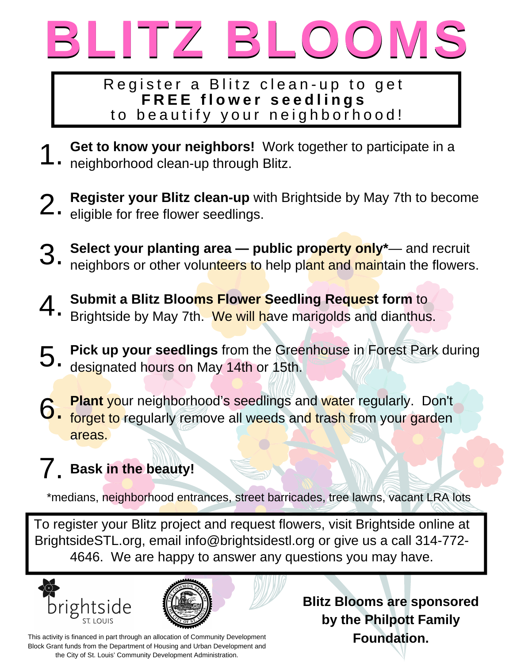

Register a Blitz clean-up to get **F R E E f l o w e r s e e d l i n g s** to beautify your neighborhood!

- **Get to know your neighbors!** Work together to participate in a neighborhood clean-up through Blitz. 1.
- **Register your Blitz clean-up** with Brightside by May 7th to become 2. Register your Blitz clean-up w<br>2. eligible for free flower seedlings.
- **Select your planting area — public property only\*** and recruit neighbors or other volunteers to help plant and maintain the flowers. 3.
- **Submit a Blitz Blooms Flower Seedling Request form** to Brightside by May 7th. We will have marigolds and dianthus. 4.
- **Pick up your seedlings** from the Greenhouse in Forest Park during designated hours on May 14th or 15th. 5.
- **Plant** your neighborhood's seedlings and water regularly. Don't forget to regularly remove all weeds and trash from your garden areas. 6.

## **Bask in the beauty!** 7.

\*medians, neighborhood entrances, street barricades, tree lawns, vacant LRA lots

To register your Blitz project and request flowers, visit Brightside online at BrightsideSTL.org, email info@brightsidestl.org or give us a call 314-772- 4646. We are happy to answer any questions you may have.





This activity is financed in part through an allocation of Community Development Block Grant funds from the Department of Housing and Urban Development and the City of St. Louis' Community Development Administration.

**Blitz Blooms are sponsored by the Philpott Family Foundation.**